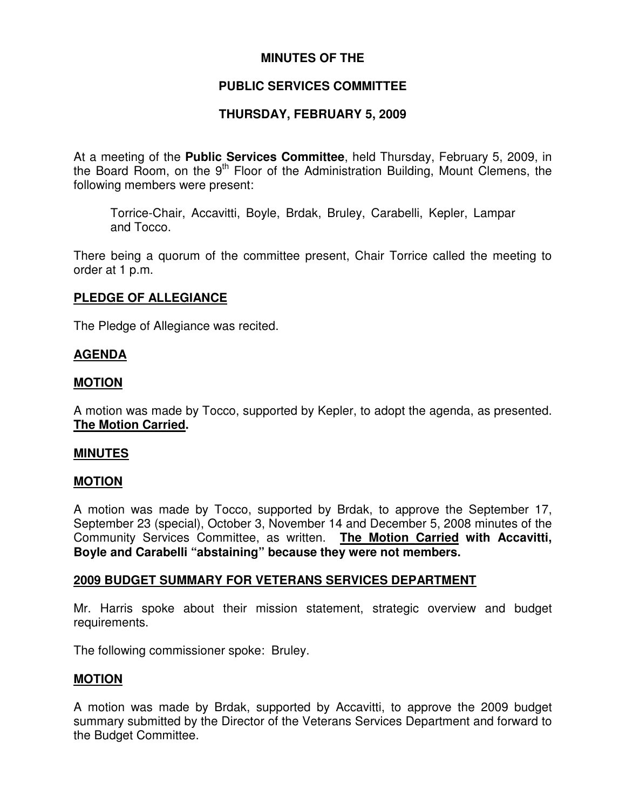# **MINUTES OF THE**

# **PUBLIC SERVICES COMMITTEE**

## **THURSDAY, FEBRUARY 5, 2009**

At a meeting of the **Public Services Committee**, held Thursday, February 5, 2009, in the Board Room, on the 9<sup>th</sup> Floor of the Administration Building, Mount Clemens, the following members were present:

Torrice-Chair, Accavitti, Boyle, Brdak, Bruley, Carabelli, Kepler, Lampar and Tocco.

There being a quorum of the committee present, Chair Torrice called the meeting to order at 1 p.m.

## **PLEDGE OF ALLEGIANCE**

The Pledge of Allegiance was recited.

#### **AGENDA**

#### **MOTION**

A motion was made by Tocco, supported by Kepler, to adopt the agenda, as presented. **The Motion Carried.**

#### **MINUTES**

#### **MOTION**

A motion was made by Tocco, supported by Brdak, to approve the September 17, September 23 (special), October 3, November 14 and December 5, 2008 minutes of the Community Services Committee, as written. **The Motion Carried with Accavitti, Boyle and Carabelli "abstaining" because they were not members.**

#### **2009 BUDGET SUMMARY FOR VETERANS SERVICES DEPARTMENT**

Mr. Harris spoke about their mission statement, strategic overview and budget requirements.

The following commissioner spoke: Bruley.

## **MOTION**

A motion was made by Brdak, supported by Accavitti, to approve the 2009 budget summary submitted by the Director of the Veterans Services Department and forward to the Budget Committee.